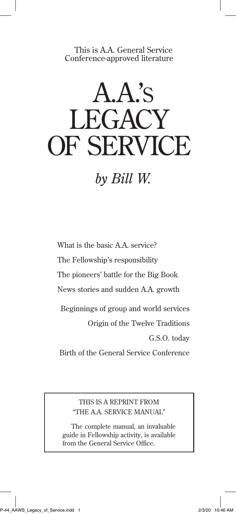This is A.A. General Service Conference-approved literature

# A.A.'s **LEGACY** OF SERVICE *by Bill W.*

What is the basic A.A. service? The Fellowship's responsibility The pioneers' battle for the Big Book News stories and sudden A.A. growth Beginnings of group and world services Origin of the Twelve Traditions G.S.O. today Birth of the General Service Conference

> THIS IS A REPRINT FROM "THE A.A. SERVICE MANUAL"

The complete manual, an invaluable guide in Fellowship activity, is available from the General Service Office.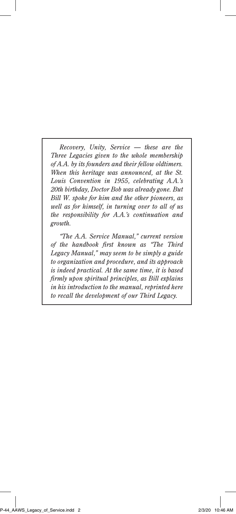*Recovery, Unity, Service — these are the Three Legacies given to the whole membership of A.A. by its founders and their fellow oldtimers. When this heritage was announced, at the St. Louis Convention in 1955, celebrating A.A.'s 20th birthday, Doctor Bob was already gone. But Bill W. spoke for him and the other pioneers, as well as for himself, in turning over to all of us the responsibility for A.A.'s continuation and growth.*

*"The A.A. Service Manual," current version of the handbook first known as "The Third Legacy Manual," may seem to be simply a guide to organization and procedure, and its approach is indeed practical. At the same time, it is based firmly upon spiritual principles, as Bill explains in his introduction to the manual, reprinted here to recall the development of our Third Legacy.*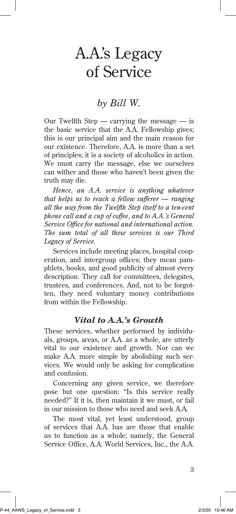# A.A.'s Legacy of Service

# *by Bill W.*

Our Twelfth Step — carrying the message — is the basic service that the A.A. Fellowship gives; this is our principal aim and the main reason for our existence. Therefore, A.A. is more than a set of principles; it is a society of alcoholics in action. We must carry the message, else we ourselves can wither and those who haven't been given the truth may die.

*Hence, an A.A. service is anything whatever that helps us to reach a fellow sufferer — ranging all the way from the Twelfth Step itself to a ten-cent phone call and a cup of coffee, and to A.A.'s General Service Office for national and international action. The sum total of all these services is our Third Legacy of Service.*

Services include meeting places, hospital cooperation, and intergroup offices; they mean pamphlets, books, and good publicity of almost every description. They call for committees, delegates, trustees, and conferences. And, not to be forgotten, they need voluntary money contributions from within the Fellowship.

#### *Vital to A.A.'s Growth*

These services, whether performed by individuals, groups, areas, or A.A. as a whole, are utterly vital to our existence and growth. Nor can we make A.A. more simple by abolishing such services. We would only be asking for complication and confusion.

Concerning any given service, we therefore pose but one question: "Is this service really needed?" If it is, then maintain it we must, or fail in our mission to those who need and seek A.A.

The most vital, yet least understood, group of services that A.A. has are those that enable us to function as a whole; namely, the General Service Office, A.A. World Services, Inc., the A.A.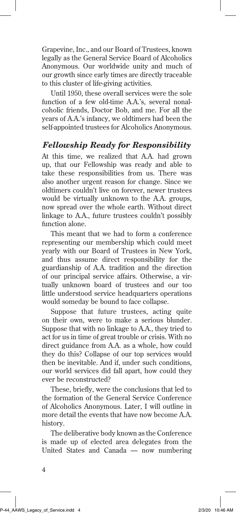Grapevine, Inc., and our Board of Trustees, known legally as the General Service Board of Alcoholics Anonymous. Our worldwide unity and much of our growth since early times are directly traceable to this cluster of life-giving activities.

Until 1950, these overall services were the sole function of a few old-time A.A.'s, several nonalcoholic friends, Doctor Bob, and me. For all the years of A.A.'s infancy, we oldtimers had been the self-appointed trustees for Alcoholics Anonymous.

## *Fellowship Ready for Responsibility*

At this time, we realized that A.A. had grown up, that our Fellowship was ready and able to take these responsibilities from us. There was also another urgent reason for change. Since we oldtimers couldn't live on forever, newer trustees would be virtually unknown to the A.A. groups, now spread over the whole earth. Without direct linkage to A.A., future trustees couldn't possibly function alone.

This meant that we had to form a conference representing our membership which could meet yearly with our Board of Trustees in New York, and thus assume direct responsibility for the guardianship of A.A. tradition and the direction of our principal service affairs. Otherwise, a virtually unknown board of trustees and our too little understood service headquarters operations would someday be bound to face collapse.

Suppose that future trustees, acting quite on their own, were to make a serious blunder. Suppose that with no linkage to A.A., they tried to act for us in time of great trouble or crisis. With no direct guidance from A.A. as a whole, how could they do this? Collapse of our top services would then be inevitable. And if, under such conditions, our world services did fall apart, how could they ever be reconstructed?

These, briefly, were the conclusions that led to the formation of the General Service Conference of Alcoholics Anonymous. Later, I will outline in more detail the events that have now become A.A. history.

The deliberative body known as the Conference is made up of elected area delegates from the United States and Canada — now numbering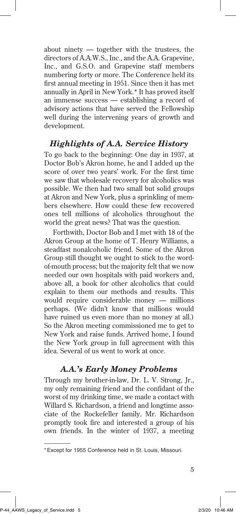about ninety — together with the trustees, the directors of A.A.W.S., Inc., and the A.A. Grapevine, Inc., and G.S.O. and Grapevine staff members numbering forty or more. The Conference held its first annual meeting in 1951. Since then it has met annually in April in New York.\* It has proved itself an immense success — establishing a record of advisory actions that have served the Fellowship well during the intervening years of growth and development.

#### *Highlights of A.A. Service History*

To go back to the beginning: One day in 1937, at Doctor Bob's Akron home, he and I added up the score of over two years' work. For the first time we saw that wholesale recovery for alcoholics was possible. We then had two small but solid groups at Akron and New York, plus a sprinkling of members elsewhere. How could these few recovered ones tell millions of alcoholics throughout the world the great news? That was the question.

Forthwith, Doctor Bob and I met with 18 of the Akron Group at the home of T. Henry Williams, a steadfast nonalcoholic friend. Some of the Akron Group still thought we ought to stick to the wordof-mouth process; but the majority felt that we now needed our own hospitals with paid workers and, above all, a book for other alcoholics that could explain to them our methods and results. This would require considerable money — millions perhaps. (We didn't know that millions would have ruined us even more than no money at all.) So the Akron meeting commissioned me to get to New York and raise funds. Arrived home, I found the New York group in full agreement with this idea. Several of us went to work at once.

#### *A.A.'s Early Money Problems*

Through my brother-in-law, Dr. L. V. Strong, Jr., my only remaining friend and the confidant of the worst of my drinking time, we made a contact with Willard S. Richardson, a friend and longtime associate of the Rockefeller family. Mr. Richardson promptly took fire and interested a group of his own friends. In the winter of 1937, a meeting

<sup>\*</sup> Except for 1955 Conference held in St. Louis, Missouri.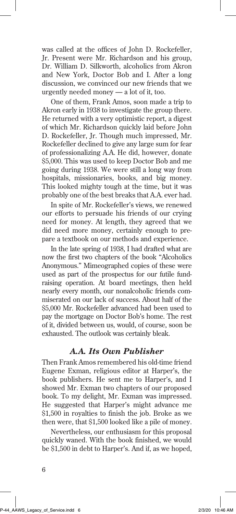was called at the offices of John D. Rockefeller, Jr. Present were Mr. Richardson and his group, Dr. William D. Silkworth, alcoholics from Akron and New York, Doctor Bob and I. After a long discussion, we convinced our new friends that we urgently needed money — a lot of it, too.

One of them, Frank Amos, soon made a trip to Akron early in 1938 to investigate the group there. He returned with a very optimistic report, a digest of which Mr. Richardson quickly laid before John D. Rockefeller, Jr. Though much impressed, Mr. Rockefeller declined to give any large sum for fear of professionalizing A.A. He did, however, donate \$5,000. This was used to keep Doctor Bob and me going during 1938. We were still a long way from hospitals, missionaries, books, and big money. This looked mighty tough at the time, but it was probably one of the best breaks that A.A. ever had.

In spite of Mr. Rockefeller's views, we renewed our efforts to persuade his friends of our crying need for money. At length, they agreed that we did need more money, certainly enough to prepare a textbook on our methods and experience.

In the late spring of 1938, I had drafted what are now the first two chapters of the book "Alcoholics Anonymous." Mimeographed copies of these were used as part of the prospectus for our futile fundraising operation. At board meetings, then held nearly every month, our nonalcoholic friends commiserated on our lack of success. About half of the \$5,000 Mr. Rockefeller advanced had been used to pay the mortgage on Doctor Bob's home. The rest of it, divided between us, would, of course, soon be exhausted. The outlook was certainly bleak.

#### *A.A. Its Own Publisher*

Then Frank Amos remembered his old-time friend Eugene Exman, religious editor at Harper's, the book publishers. He sent me to Harper's, and I showed Mr. Exman two chapters of our proposed book. To my delight, Mr. Exman was impressed. He suggested that Harper's might advance me \$1,500 in royalties to finish the job. Broke as we then were, that \$1,500 looked like a pile of money.

Nevertheless, our enthusiasm for this proposal quickly waned. With the book finished, we would be \$1,500 in debt to Harper's. And if, as we hoped,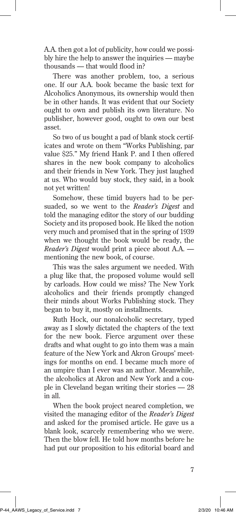A.A. then got a lot of publicity, how could we possibly hire the help to answer the inquiries — maybe thousands — that would flood in?

There was another problem, too, a serious one. If our A.A. book became the basic text for Alcoholics Anonymous, its ownership would then be in other hands. It was evident that our Society ought to own and publish its own literature. No publisher, however good, ought to own our best asset.

So two of us bought a pad of blank stock certificates and wrote on them "Works Publishing, par value \$25." My friend Hank P. and I then offered shares in the new book company to alcoholics and their friends in New York. They just laughed at us. Who would buy stock, they said, in a book not yet written!

Somehow, these timid buyers had to be persuaded, so we went to the *Reader's Digest* and told the managing editor the story of our budding Society and its proposed book. He liked the notion very much and promised that in the spring of 1939 when we thought the book would be ready, the *Reader's Digest* would print a piece about A.A. mentioning the new book, of course.

This was the sales argument we needed. With a plug like that, the proposed volume would sell by carloads. How could we miss? The New York alcoholics and their friends promptly changed their minds about Works Publishing stock. They began to buy it, mostly on installments.

Ruth Hock, our nonalcoholic secretary, typed away as I slowly dictated the chapters of the text for the new book. Fierce argument over these drafts and what ought to go into them was a main feature of the New York and Akron Groups' meetings for months on end. I became much more of an umpire than I ever was an author. Meanwhile, the alcoholics at Akron and New York and a couple in Cleveland began writing their stories — 28 in all.

When the book project neared completion, we visited the managing editor of the *Reader's Digest*  and asked for the promised article. He gave us a blank look, scarcely remembering who we were. Then the blow fell. He told how months before he had put our proposition to his editorial board and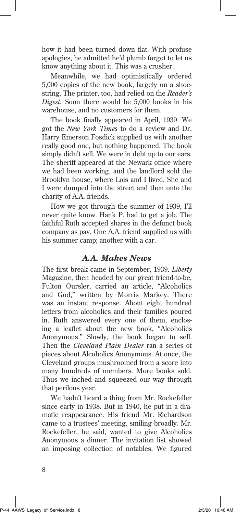how it had been turned down flat. With profuse apologies, he admitted he'd plumb forgot to let us know anything about it. This was a crusher.

Meanwhile, we had optimistically ordered 5,000 copies of the new book, largely on a shoestring. The printer, too, had relied on the *Reader's Digest.* Soon there would be 5,000 books in his warehouse, and no customers for them.

The book finally appeared in April, 1939. We got the *New York Times* to do a review and Dr. Harry Emerson Fosdick supplied us with another really good one, but nothing happened. The book simply didn't sell. We were in debt up to our ears. The sheriff appeared at the Newark office where we had been working, and the landlord sold the Brooklyn house, where Lois and I lived. She and I were dumped into the street and then onto the charity of A.A. friends.

How we got through the summer of 1939, I'll never quite know. Hank P. had to get a job. The faithful Ruth accepted shares in the defunct book company as pay. One A.A. friend supplied us with his summer camp; another with a car.

#### *A.A. Makes News*

The first break came in September, 1939. *Liberty*  Magazine, then headed by our great friend-to-be, Fulton Oursler, carried an article, "Alcoholics and God," written by Morris Markey. There was an instant response. About eight hundred letters from alcoholics and their families poured in. Ruth answered every one of them, enclosing a leaflet about the new book, "Alcoholics Anonymous." Slowly, the book began to sell. Then the *Cleveland Plain Dealer* ran a series of pieces about Alcoholics Anonymous. At once, the Cleveland groups mushroomed from a score into many hundreds of members. More books sold. Thus we inched and squeezed our way through that perilous year.

We hadn't heard a thing from Mr. Rockefeller since early in 1938. But in 1940, he put in a dramatic reappearance. His friend Mr. Richardson came to a trustees' meeting, smiling broadly. Mr. Rockefeller, he said, wanted to give Alcoholics Anonymous a dinner. The invitation list showed an imposing collection of notables. We figured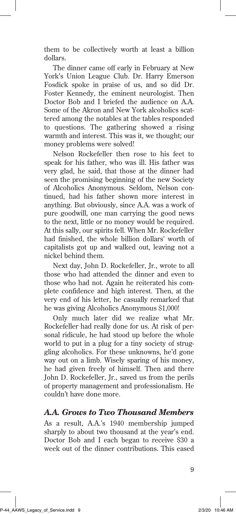them to be collectively worth at least a billion dollars.

The dinner came off early in February at New York's Union League Club. Dr. Harry Emerson Fosdick spoke in praise of us, and so did Dr. Foster Kennedy, the eminent neurologist. Then Doctor Bob and I briefed the audience on A.A. Some of the Akron and New York alcoholics scattered among the notables at the tables responded to questions. The gathering showed a rising warmth and interest. This was it, we thought; our money problems were solved!

Nelson Rockefeller then rose to his feet to speak for his father, who was ill. His father was very glad, he said, that those at the dinner had seen the promising beginning of the new Society of Alcoholics Anonymous. Seldom, Nelson continued, had his father shown more interest in anything. But obviously, since A.A. was a work of pure goodwill, one man carrying the good news to the next, little or no money would be required. At this sally, our spirits fell. When Mr. Rockefeller had finished, the whole billion dollars' worth of capitalists got up and walked out, leaving not a nickel behind them.

Next day, John D. Rockefeller, Jr., wrote to all those who had attended the dinner and even to those who had not. Again he reiterated his complete confidence and high interest. Then, at the very end of his letter, he casually remarked that he was giving Alcoholics Anonymous \$1,000!

Only much later did we realize what Mr. Rockefeller had really done for us. At risk of personal ridicule, he had stood up before the whole world to put in a plug for a tiny society of struggling alcoholics. For these unknowns, he'd gone way out on a limb. Wisely sparing of his money, he had given freely of himself. Then and there John D. Rockefeller, Jr., saved us from the perils of property management and professionalism. He couldn't have done more.

#### *A.A. Grows to Two Thousand Members*

As a result, A.A.'s 1940 membership jumped sharply to about two thousand at the year's end. Doctor Bob and I each began to receive \$30 a week out of the dinner contributions. This eased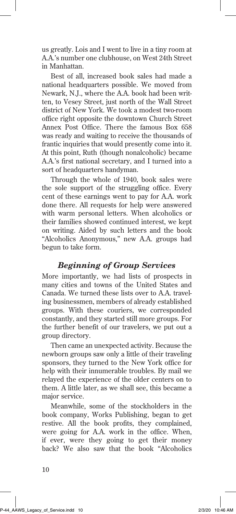us greatly. Lois and I went to live in a tiny room at A.A.'s number one clubhouse, on West 24th Street in Manhattan.

Best of all, increased book sales had made a national headquarters possible. We moved from Newark, N.J., where the A.A. book had been written, to Vesey Street, just north of the Wall Street district of New York. We took a modest two-room office right opposite the downtown Church Street Annex Post Office. There the famous Box 658 was ready and waiting to receive the thousands of frantic inquiries that would presently come into it. At this point, Ruth (though nonalcoholic) became A.A.'s first national secretary, and I turned into a sort of headquarters handyman.

Through the whole of 1940, book sales were the sole support of the struggling office. Every cent of these earnings went to pay for A.A. work done there. All requests for help were answered with warm personal letters. When alcoholics or their families showed continued interest, we kept on writing. Aided by such letters and the book "Alcoholics Anonymous," new A.A. groups had begun to take form.

#### *Beginning of Group Services*

More importantly, we had lists of prospects in many cities and towns of the United States and Canada. We turned these lists over to A.A. traveling businessmen, members of already established groups. With these couriers, we corresponded constantly, and they started still more groups. For the further benefit of our travelers, we put out a group directory.

Then came an unexpected activity. Because the newborn groups saw only a little of their traveling sponsors, they turned to the New York office for help with their innumerable troubles. By mail we relayed the experience of the older centers on to them. A little later, as we shall see, this became a major service.

Meanwhile, some of the stockholders in the book company, Works Publishing, began to get restive. All the book profits, they complained, were going for A.A. work in the office. When, if ever, were they going to get their money back? We also saw that the book "Alcoholics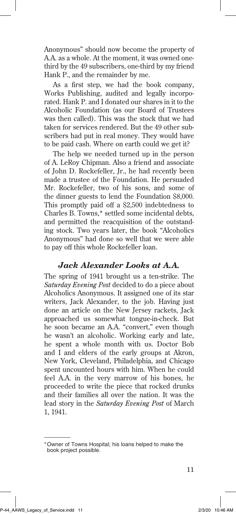Anonymous" should now become the property of A.A. as a whole. At the moment, it was owned onethird by the 49 subscribers, one-third by my friend Hank P., and the remainder by me.

As a first step, we had the book company, Works Publishing, audited and legally incorporated. Hank P. and I donated our shares in it to the Alcoholic Foundation (as our Board of Trustees was then called). This was the stock that we had taken for services rendered. But the 49 other subscribers had put in real money. They would have to be paid cash. Where on earth could we get it?

The help we needed turned up in the person of A. LeRoy Chipman. Also a friend and associate of John D. Rockefeller, Jr., he had recently been made a trustee of the Foundation. He persuaded Mr. Rockefeller, two of his sons, and some of the dinner guests to lend the Foundation \$8,000. This promptly paid off a \$2,500 indebtedness to Charles B. Towns,\* settled some incidental debts, and permitted the reacquisition of the outstanding stock. Two years later, the book "Alcoholics Anonymous" had done so well that we were able to pay off this whole Rockefeller loan.

#### *Jack Alexander Looks at A.A.*

The spring of 1941 brought us a ten-strike. The *Saturday Evening Post* decided to do a piece about Alcoholics Anonymous. It assigned one of its star writers, Jack Alexander, to the job. Having just done an article on the New Jersey rackets, Jack approached us somewhat tongue-in-check. But he soon became an A.A. "convert," even though he wasn't an alcoholic. Working early and late, he spent a whole month with us. Doctor Bob and I and elders of the early groups at Akron, New York, Cleveland, Philadelphia, and Chicago spent uncounted hours with him. When he could feel A.A. in the very marrow of his bones, he proceeded to write the piece that rocked drunks and their families all over the nation. It was the lead story in the *Saturday Evening Post* of March 1, 1941.

<sup>\*</sup> Owner of Towns Hospital; his loans helped to make the book project possible.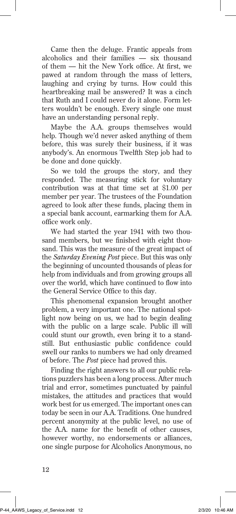Came then the deluge. Frantic appeals from alcoholics and their families — six thousand of them — hit the New York office. At first, we pawed at random through the mass of letters, laughing and crying by turns. How could this heartbreaking mail be answered? It was a cinch that Ruth and I could never do it alone. Form letters wouldn't be enough. Every single one must have an understanding personal reply.

Maybe the A.A. groups themselves would help. Though we'd never asked anything of them before, this was surely their business, if it was anybody's. An enormous Twelfth Step job had to be done and done quickly.

So we told the groups the story, and they responded. The measuring stick for voluntary contribution was at that time set at \$1.00 per member per year. The trustees of the Foundation agreed to look after these funds, placing them in a special bank account, earmarking them for A.A. office work only.

We had started the year 1941 with two thousand members, but we finished with eight thousand. This was the measure of the great impact of the *Saturday Evening Post* piece. But this was only the beginning of uncounted thousands of pleas for help from individuals and from growing groups all over the world, which have continued to flow into the General Service Office to this day.

This phenomenal expansion brought another problem, a very important one. The national spotlight now being on us, we had to begin dealing with the public on a large scale. Public ill will could stunt our growth, even bring it to a standstill. But enthusiastic public confidence could swell our ranks to numbers we had only dreamed of before. The *Post* piece had proved this.

Finding the right answers to all our public relations puzzlers has been a long process. After much trial and error, sometimes punctuated by painful mistakes, the attitudes and practices that would work best for us emerged. The important ones can today be seen in our A.A. Traditions. One hundred percent anonymity at the public level, no use of the A.A. name for the benefit of other causes, however worthy, no endorsements or alliances, one single purpose for Alcoholics Anonymous, no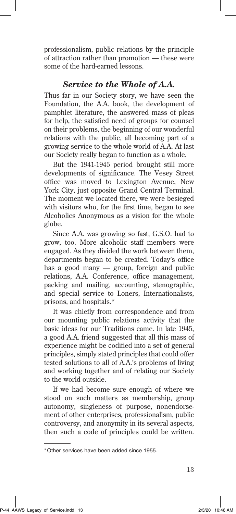professionalism, public relations by the principle of attraction rather than promotion — these were some of the hard-earned lessons.

# *Service to the Whole of A.A.*

Thus far in our Society story, we have seen the Foundation, the A.A. book, the development of pamphlet literature, the answered mass of pleas for help, the satisfied need of groups for counsel on their problems, the beginning of our wonderful relations with the public, all becoming part of a growing service to the whole world of A.A. At last our Society really began to function as a whole.

But the 1941-1945 period brought still more developments of significance. The Vesey Street office was moved to Lexington Avenue, New York City, just opposite Grand Central Terminal. The moment we located there, we were besieged with visitors who, for the first time, began to see Alcoholics Anonymous as a vision for the whole globe.

Since A.A. was growing so fast, G.S.O. had to grow, too. More alcoholic staff members were engaged. As they divided the work between them, departments began to be created. Today's office has a good many — group, foreign and public relations, A.A. Conference, office management, packing and mailing, accounting, stenographic, and special service to Loners, Internationalists, prisons, and hospitals.\*

It was chiefly from correspondence and from our mounting public relations activity that the basic ideas for our Traditions came. In late 1945, a good A.A. friend suggested that all this mass of experience might be codified into a set of general principles, simply stated principles that could offer tested solutions to all of A.A.'s problems of living and working together and of relating our Society to the world outside.

If we had become sure enough of where we stood on such matters as membership, group autonomy, singleness of purpose, nonendorsement of other enterprises, professionalism, public controversy, and anonymity in its several aspects, then such a code of principles could be written.

<sup>\*</sup> Other services have been added since 1955.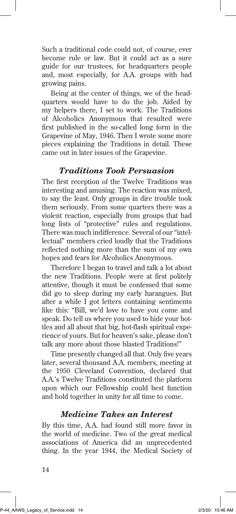Such a traditional code could not, of course, ever become rule or law. But it could act as a sure guide for our trustees, for headquarters people and, most especially, for A.A. groups with bad growing pains.

Being at the center of things, we of the headquarters would have to do the job. Aided by my helpers there, I set to work. The Traditions of Alcoholics Anonymous that resulted were first published in the so-called long form in the Grapevine of May, 1946. Then I wrote some more pieces explaining the Traditions in detail. These came out in later issues of the Grapevine.

## *Traditions Took Persuasion*

The first reception of the Twelve Traditions was interesting and amusing. The reaction was mixed, to say the least. Only groups in dire trouble took them seriously. From some quarters there was a violent reaction, especially from groups that had long lists of "protective" rules and regulations. There was much indifference. Several of our "intellectual" members cried loudly that the Traditions reflected nothing more than the sum of my own hopes and fears for Alcoholics Anonymous.

Therefore I began to travel and talk a lot about the new Traditions. People were at first politely attentive, though it must be confessed that some did go to sleep during my early harangues. But after a while I got letters containing sentiments like this: "Bill, we'd love to have you come and speak. Do tell us where you used to hide your bottles and all about that big, hot-flash spiritual experience of yours. But for heaven's sake, please don't talk any more about those blasted Traditions!"

Time presently changed all that. Only five years later, several thousand A.A. members, meeting at the 1950 Cleveland Convention, declared that A.A.'s Twelve Traditions constituted the platform upon which our Fellowship could best function and hold together in unity for all time to come.

#### *Medicine Takes an Interest*

By this time, A.A. had found still more favor in the world of medicine. Two of the great medical associations of America did an unprecedented thing. In the year 1944, the Medical Society of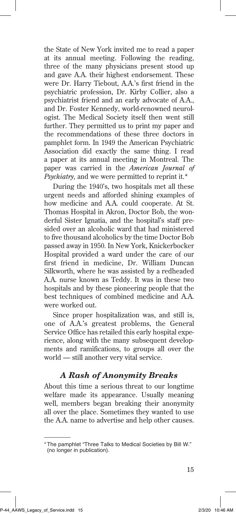the State of New York invited me to read a paper at its annual meeting. Following the reading, three of the many physicians present stood up and gave A.A. their highest endorsement. These were Dr. Harry Tiebout, A.A.'s first friend in the psychiatric profession, Dr. Kirby Collier, also a psychiatrist friend and an early advocate of A.A., and Dr. Foster Kennedy, world-renowned neurologist. The Medical Society itself then went still further. They permitted us to print my paper and the recommendations of these three doctors in pamphlet form. In 1949 the American Psychiatric Association did exactly the same thing. I read a paper at its annual meeting in Montreal. The paper was carried in the *American Journal of Psychiatry,* and we were permitted to reprint it.\*

During the 1940's, two hospitals met all these urgent needs and afforded shining examples of how medicine and A.A. could cooperate. At St. Thomas Hospital in Akron, Doctor Bob, the wonderful Sister Ignatia, and the hospital's staff presided over an alcoholic ward that had ministered to five thousand alcoholics by the time Doctor Bob passed away in 1950. In New York, Knickerbocker Hospital provided a ward under the care of our first friend in medicine, Dr. William Duncan Silkworth, where he was assisted by a redheaded A.A. nurse known as Teddy. It was in these two hospitals and by these pioneering people that the best techniques of combined medicine and A.A. were worked out.

Since proper hospitalization was, and still is, one of A.A.'s greatest problems, the General Service Office has retailed this early hospital experience, along with the many subsequent developments and ramifications, to groups all over the world — still another very vital service.

## *A Rash of Anonymity Breaks*

About this time a serious threat to our longtime welfare made its appearance. Usually meaning well, members began breaking their anonymity all over the place. Sometimes they wanted to use the A.A. name to advertise and help other causes.

<sup>\*</sup> The pamphlet "Three Talks to Medical Societies by Bill W." (no longer in publication).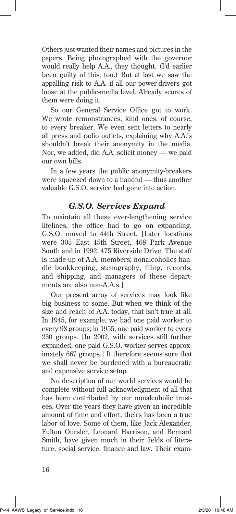Others just wanted their names and pictures in the papers. Being photographed with the governor would really help A.A., they thought. (I'd earlier been guilty of this, too.) But at last we saw the appalling risk to A.A. if all our power-drivers got loose at the public-media level. Already scores of them were doing it.

So our General Service Office got to work. We wrote remonstrances, kind ones, of course, to every breaker. We even sent letters to nearly all press and radio outlets, explaining why A.A.'s shouldn't break their anonymity in the media. Nor, we added, did A.A. solicit money — we paid our own bills.

In a few years the public anonymity-breakers were squeezed down to a handful — thus another valuable G.S.O. service had gone into action.

#### *G.S.O. Services Expand*

To maintain all these ever-lengthening service lifelines, the office had to go on expanding. G.S.O. moved to 44th Street. [Later locations were 305 East 45th Street, 468 Park Avenue South and in 1992, 475 Riverside Drive. The staff is made up of A.A. members; nonalcoholics handle bookkeeping, stenography, filing, records, and shipping, and managers of these departments are also non-A.A.s.]

Our present array of services may look like big business to some. But when we think of the size and reach of A.A. today, that isn't true at all. In 1945, for example, we had one paid worker to every 98 groups; in 1955, one paid worker to every 230 groups. [In 2002, with services still further expanded, one paid G.S.O. worker serves approximately 667 groups.] It therefore seems sure that we shall never be burdened with a bureaucratic and expensive service setup.

No description of our world services would be complete without full acknowledgment of all that has been contributed by our nonalcoholic trustees. Over the years they have given an incredible amount of time and effort; theirs has been a true labor of love. Some of them, like Jack Alexander, Fulton Oursler, Leonard Harrison, and Bernard Smith, have given much in their fields of literature, social service, finance and law. Their exam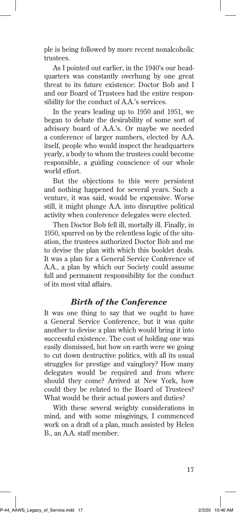ple is being followed by more recent nonalcoholic trustees.

As I pointed out earlier, in the 1940's our headquarters was constantly overhung by one great threat to its future existence: Doctor Bob and I and our Board of Trustees had the entire responsibility for the conduct of A.A.'s services.

In the years leading up to 1950 and 1951, we began to debate the desirability of some sort of advisory board of A.A.'s. Or maybe we needed a conference of larger numbers, elected by A.A. itself, people who would inspect the headquarters yearly, a body to whom the trustees could become responsible, a guiding conscience of our whole world effort.

But the objections to this were persistent and nothing happened for several years. Such a venture, it was said, would be expensive. Worse still, it might plunge A.A. into disruptive political activity when conference delegates were elected.

Then Doctor Bob fell ill, mortally ill. Finally, in 1950, spurred on by the relentless logic of the situation, the trustees authorized Doctor Bob and me to devise the plan with which this booklet deals. It was a plan for a General Service Conference of A.A., a plan by which our Society could assume full and permanent responsibility for the conduct of its most vital affairs.

#### *Birth of the Conference*

It was one thing to say that we ought to have a General Service Conference, but it was quite another to devise a plan which would bring it into successful existence. The cost of holding one was easily dismissed, but how on earth were we going to cut down destructive politics, with all its usual struggles for prestige and vainglory? How many delegates would be required and from where should they come? Arrived at New York, how could they be related to the Board of Trustees? What would be their actual powers and duties?

With these several weighty considerations in mind, and with some misgivings, I commenced work on a draft of a plan, much assisted by Helen B., an A.A. staff member.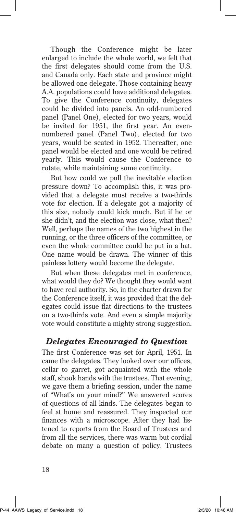Though the Conference might be later enlarged to include the whole world, we felt that the first delegates should come from the U.S. and Canada only. Each state and province might be allowed one delegate. Those containing heavy A.A. populations could have additional delegates. To give the Conference continuity, delegates could be divided into panels. An odd-numbered panel (Panel One), elected for two years, would be invited for 1951, the first year. An evennumbered panel (Panel Two), elected for two years, would be seated in 1952. Thereafter, one panel would be elected and one would be retired yearly. This would cause the Conference to rotate, while maintaining some continuity.

But how could we pull the inevitable election pressure down? To accomplish this, it was provided that a delegate must receive a two-thirds vote for election. If a delegate got a majority of this size, nobody could kick much. But if he or she didn't, and the election was close, what then? Well, perhaps the names of the two highest in the running, or the three officers of the committee, or even the whole committee could be put in a hat. One name would be drawn. The winner of this painless lottery would become the delegate.

But when these delegates met in conference, what would they do? We thought they would want to have real authority. So, in the charter drawn for the Conference itself, it was provided that the delegates could issue flat directions to the trustees on a two-thirds vote. And even a simple majority vote would constitute a mighty strong suggestion.

## *Delegates Encouraged to Question*

The first Conference was set for April, 1951. In came the delegates. They looked over our offices, cellar to garret, got acquainted with the whole staff, shook hands with the trustees. That evening, we gave them a briefing session, under the name of "What's on your mind?" We answered scores of questions of all kinds. The delegates began to feel at home and reassured. They inspected our finances with a microscope. After they had listened to reports from the Board of Trustees and from all the services, there was warm but cordial debate on many a question of policy. Trustees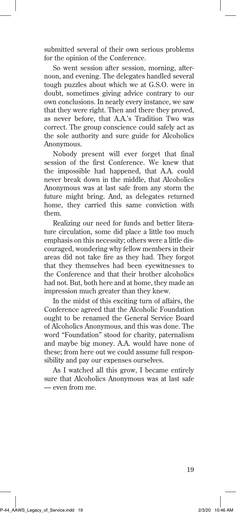submitted several of their own serious problems for the opinion of the Conference.

So went session after session, morning, afternoon, and evening. The delegates handled several tough puzzles about which we at G.S.O. were in doubt, sometimes giving advice contrary to our own conclusions. In nearly every instance, we saw that they were right. Then and there they proved, as never before, that A.A.'s Tradition Two was correct. The group conscience could safely act as the sole authority and sure guide for Alcoholics Anonymous.

Nobody present will ever forget that final session of the first Conference. We knew that the impossible had happened, that A.A. could never break down in the middle, that Alcoholics Anonymous was at last safe from any storm the future might bring. And, as delegates returned home, they carried this same conviction with them.

Realizing our need for funds and better literature circulation, some did place a little too much emphasis on this necessity; others were a little discouraged, wondering why fellow members in their areas did not take fire as they had. They forgot that they themselves had been eyewitnesses to the Conference and that their brother alcoholics had not. But, both here and at home, they made an impression much greater than they knew.

In the midst of this exciting turn of affairs, the Conference agreed that the Alcoholic Foundation ought to be renamed the General Service Board of Alcoholics Anonymous, and this was done. The word "Foundation" stood for charity, paternalism and maybe big money. A.A. would have none of these; from here out we could assume full responsibility and pay our expenses ourselves.

As I watched all this grow, I became entirely sure that Alcoholics Anonymous was at last safe — even from me.